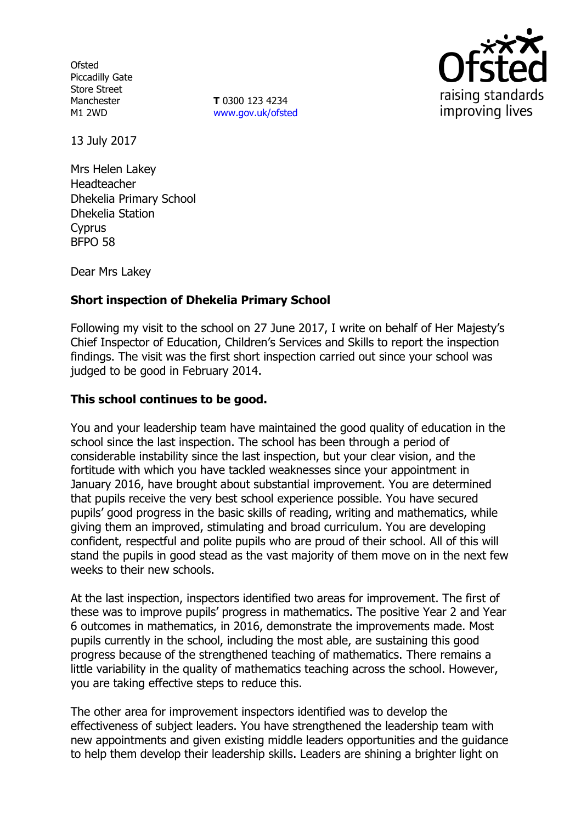**Ofsted** Piccadilly Gate Store Street Manchester M1 2WD

**T** 0300 123 4234 [www.gov.uk/ofsted](http://www.gov.uk/ofsted)



13 July 2017

Mrs Helen Lakey Headteacher Dhekelia Primary School Dhekelia Station Cyprus BFPO 58

Dear Mrs Lakey

# **Short inspection of Dhekelia Primary School**

Following my visit to the school on 27 June 2017, I write on behalf of Her Majesty's Chief Inspector of Education, Children's Services and Skills to report the inspection findings. The visit was the first short inspection carried out since your school was judged to be good in February 2014.

## **This school continues to be good.**

You and your leadership team have maintained the good quality of education in the school since the last inspection. The school has been through a period of considerable instability since the last inspection, but your clear vision, and the fortitude with which you have tackled weaknesses since your appointment in January 2016, have brought about substantial improvement. You are determined that pupils receive the very best school experience possible. You have secured pupils' good progress in the basic skills of reading, writing and mathematics, while giving them an improved, stimulating and broad curriculum. You are developing confident, respectful and polite pupils who are proud of their school. All of this will stand the pupils in good stead as the vast majority of them move on in the next few weeks to their new schools.

At the last inspection, inspectors identified two areas for improvement. The first of these was to improve pupils' progress in mathematics. The positive Year 2 and Year 6 outcomes in mathematics, in 2016, demonstrate the improvements made. Most pupils currently in the school, including the most able, are sustaining this good progress because of the strengthened teaching of mathematics. There remains a little variability in the quality of mathematics teaching across the school. However, you are taking effective steps to reduce this.

The other area for improvement inspectors identified was to develop the effectiveness of subject leaders. You have strengthened the leadership team with new appointments and given existing middle leaders opportunities and the guidance to help them develop their leadership skills. Leaders are shining a brighter light on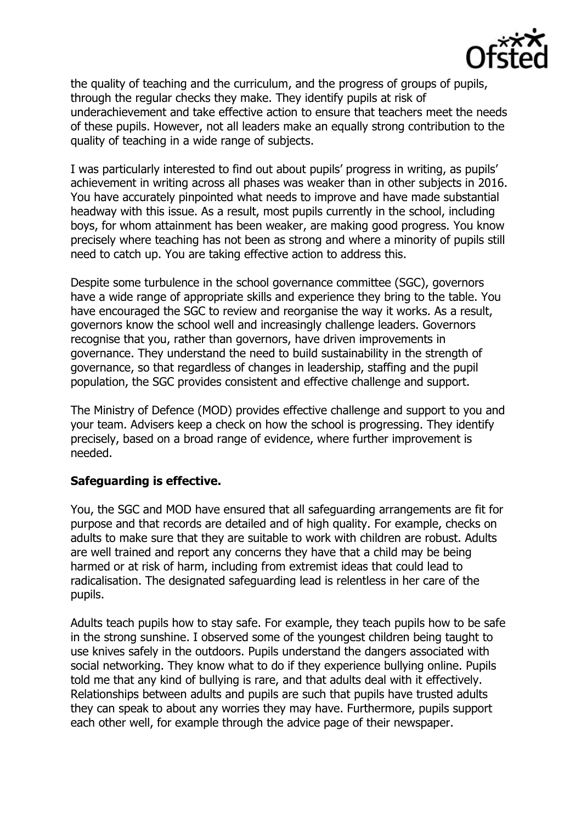

the quality of teaching and the curriculum, and the progress of groups of pupils, through the regular checks they make. They identify pupils at risk of underachievement and take effective action to ensure that teachers meet the needs of these pupils. However, not all leaders make an equally strong contribution to the quality of teaching in a wide range of subjects.

I was particularly interested to find out about pupils' progress in writing, as pupils' achievement in writing across all phases was weaker than in other subjects in 2016. You have accurately pinpointed what needs to improve and have made substantial headway with this issue. As a result, most pupils currently in the school, including boys, for whom attainment has been weaker, are making good progress. You know precisely where teaching has not been as strong and where a minority of pupils still need to catch up. You are taking effective action to address this.

Despite some turbulence in the school governance committee (SGC), governors have a wide range of appropriate skills and experience they bring to the table. You have encouraged the SGC to review and reorganise the way it works. As a result, governors know the school well and increasingly challenge leaders. Governors recognise that you, rather than governors, have driven improvements in governance. They understand the need to build sustainability in the strength of governance, so that regardless of changes in leadership, staffing and the pupil population, the SGC provides consistent and effective challenge and support.

The Ministry of Defence (MOD) provides effective challenge and support to you and your team. Advisers keep a check on how the school is progressing. They identify precisely, based on a broad range of evidence, where further improvement is needed.

### **Safeguarding is effective.**

You, the SGC and MOD have ensured that all safeguarding arrangements are fit for purpose and that records are detailed and of high quality. For example, checks on adults to make sure that they are suitable to work with children are robust. Adults are well trained and report any concerns they have that a child may be being harmed or at risk of harm, including from extremist ideas that could lead to radicalisation. The designated safeguarding lead is relentless in her care of the pupils.

Adults teach pupils how to stay safe. For example, they teach pupils how to be safe in the strong sunshine. I observed some of the youngest children being taught to use knives safely in the outdoors. Pupils understand the dangers associated with social networking. They know what to do if they experience bullying online. Pupils told me that any kind of bullying is rare, and that adults deal with it effectively. Relationships between adults and pupils are such that pupils have trusted adults they can speak to about any worries they may have. Furthermore, pupils support each other well, for example through the advice page of their newspaper.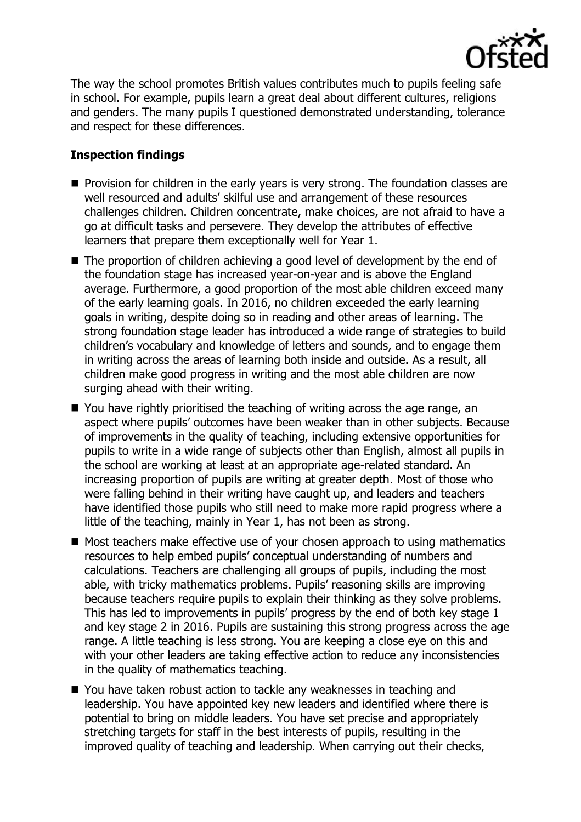

The way the school promotes British values contributes much to pupils feeling safe in school. For example, pupils learn a great deal about different cultures, religions and genders. The many pupils I questioned demonstrated understanding, tolerance and respect for these differences.

## **Inspection findings**

- $\blacksquare$  Provision for children in the early years is very strong. The foundation classes are well resourced and adults' skilful use and arrangement of these resources challenges children. Children concentrate, make choices, are not afraid to have a go at difficult tasks and persevere. They develop the attributes of effective learners that prepare them exceptionally well for Year 1.
- The proportion of children achieving a good level of development by the end of the foundation stage has increased year-on-year and is above the England average. Furthermore, a good proportion of the most able children exceed many of the early learning goals. In 2016, no children exceeded the early learning goals in writing, despite doing so in reading and other areas of learning. The strong foundation stage leader has introduced a wide range of strategies to build children's vocabulary and knowledge of letters and sounds, and to engage them in writing across the areas of learning both inside and outside. As a result, all children make good progress in writing and the most able children are now surging ahead with their writing.
- You have rightly prioritised the teaching of writing across the age range, an aspect where pupils' outcomes have been weaker than in other subjects. Because of improvements in the quality of teaching, including extensive opportunities for pupils to write in a wide range of subjects other than English, almost all pupils in the school are working at least at an appropriate age-related standard. An increasing proportion of pupils are writing at greater depth. Most of those who were falling behind in their writing have caught up, and leaders and teachers have identified those pupils who still need to make more rapid progress where a little of the teaching, mainly in Year 1, has not been as strong.
- Most teachers make effective use of your chosen approach to using mathematics resources to help embed pupils' conceptual understanding of numbers and calculations. Teachers are challenging all groups of pupils, including the most able, with tricky mathematics problems. Pupils' reasoning skills are improving because teachers require pupils to explain their thinking as they solve problems. This has led to improvements in pupils' progress by the end of both key stage 1 and key stage 2 in 2016. Pupils are sustaining this strong progress across the age range. A little teaching is less strong. You are keeping a close eye on this and with your other leaders are taking effective action to reduce any inconsistencies in the quality of mathematics teaching.
- You have taken robust action to tackle any weaknesses in teaching and leadership. You have appointed key new leaders and identified where there is potential to bring on middle leaders. You have set precise and appropriately stretching targets for staff in the best interests of pupils, resulting in the improved quality of teaching and leadership. When carrying out their checks,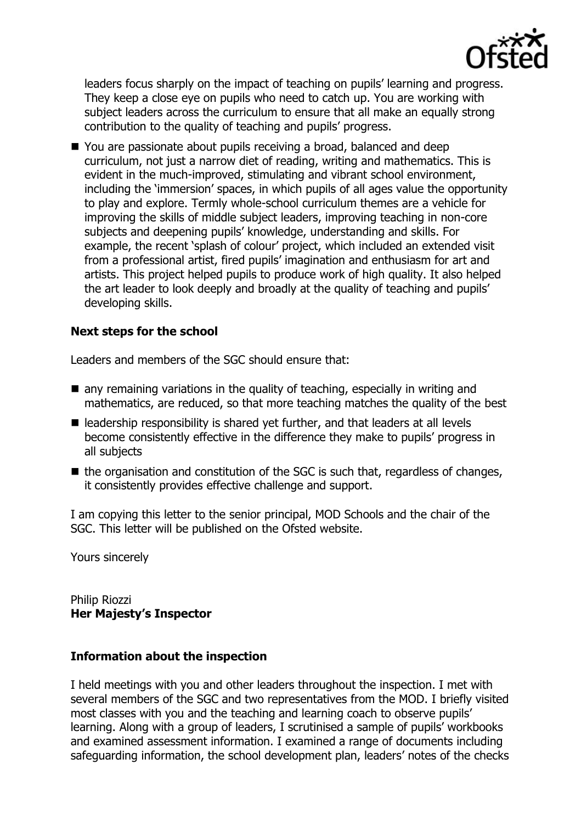

leaders focus sharply on the impact of teaching on pupils' learning and progress. They keep a close eye on pupils who need to catch up. You are working with subject leaders across the curriculum to ensure that all make an equally strong contribution to the quality of teaching and pupils' progress.

■ You are passionate about pupils receiving a broad, balanced and deep curriculum, not just a narrow diet of reading, writing and mathematics. This is evident in the much-improved, stimulating and vibrant school environment, including the 'immersion' spaces, in which pupils of all ages value the opportunity to play and explore. Termly whole-school curriculum themes are a vehicle for improving the skills of middle subject leaders, improving teaching in non-core subjects and deepening pupils' knowledge, understanding and skills. For example, the recent 'splash of colour' project, which included an extended visit from a professional artist, fired pupils' imagination and enthusiasm for art and artists. This project helped pupils to produce work of high quality. It also helped the art leader to look deeply and broadly at the quality of teaching and pupils' developing skills.

## **Next steps for the school**

Leaders and members of the SGC should ensure that:

- any remaining variations in the quality of teaching, especially in writing and mathematics, are reduced, so that more teaching matches the quality of the best
- leadership responsibility is shared yet further, and that leaders at all levels become consistently effective in the difference they make to pupils' progress in all subjects
- $\blacksquare$  the organisation and constitution of the SGC is such that, regardless of changes, it consistently provides effective challenge and support.

I am copying this letter to the senior principal, MOD Schools and the chair of the SGC. This letter will be published on the Ofsted website.

Yours sincerely

Philip Riozzi **Her Majesty's Inspector**

### **Information about the inspection**

I held meetings with you and other leaders throughout the inspection. I met with several members of the SGC and two representatives from the MOD. I briefly visited most classes with you and the teaching and learning coach to observe pupils' learning. Along with a group of leaders, I scrutinised a sample of pupils' workbooks and examined assessment information. I examined a range of documents including safeguarding information, the school development plan, leaders' notes of the checks